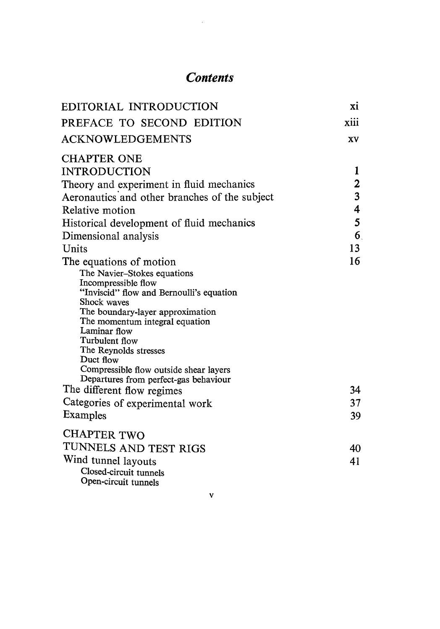## **Contents**

| EDITORIAL INTRODUCTION                                                          | X1   |
|---------------------------------------------------------------------------------|------|
| PREFACE TO SECOND EDITION                                                       | xiii |
| <b>ACKNOWLEDGEMENTS</b>                                                         | XV   |
| <b>CHAPTER ONE</b>                                                              |      |
| <b>INTRODUCTION</b>                                                             | 1    |
| Theory and experiment in fluid mechanics                                        | 2    |
| Aeronautics and other branches of the subject                                   | 3    |
| Relative motion                                                                 | 4    |
| Historical development of fluid mechanics                                       | 5    |
| Dimensional analysis                                                            | 6    |
| Units                                                                           | 13   |
| The equations of motion                                                         | 16   |
| The Navier-Stokes equations                                                     |      |
| Incompressible flow                                                             |      |
| "Inviscid" flow and Bernoulli's equation                                        |      |
| Shock waves<br>The boundary-layer approximation                                 |      |
| The momentum integral equation                                                  |      |
| Laminar flow                                                                    |      |
| Turbulent flow                                                                  |      |
| The Reynolds stresses                                                           |      |
| Duct flow                                                                       |      |
| Compressible flow outside shear layers<br>Departures from perfect-gas behaviour |      |
| The different flow regimes                                                      | 34   |
|                                                                                 |      |
| Categories of experimental work                                                 | 37   |
| Examples                                                                        | 39   |
| <b>CHAPTER TWO</b>                                                              |      |
| TUNNELS AND TEST RIGS                                                           | 40   |
| Wind tunnel layouts                                                             | 41   |
| Closed-circuit tunnels                                                          |      |

 $\bar{\mathbf{v}}$ 

Open-circuit tunne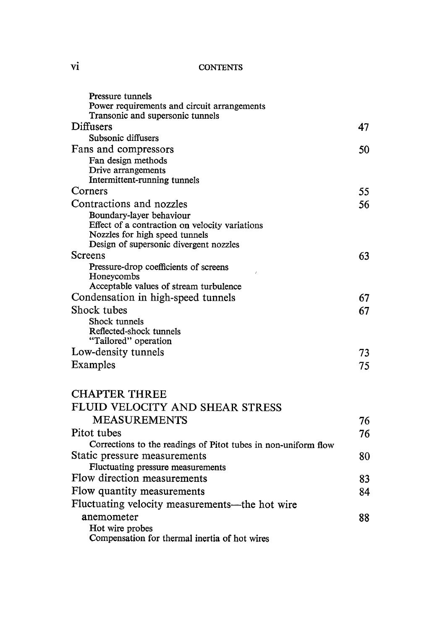## **CONTENTS**

| Pressure tunnels                                                           |    |
|----------------------------------------------------------------------------|----|
| Power requirements and circuit arrangements                                |    |
| Transonic and supersonic tunnels                                           |    |
| Diffusers                                                                  | 47 |
| Subsonic diffusers                                                         |    |
| Fans and compressors                                                       | 50 |
| Fan design methods                                                         |    |
| Drive arrangements                                                         |    |
| Intermittent-running tunnels<br>Corners                                    |    |
|                                                                            | 55 |
| Contractions and nozzles                                                   | 56 |
| Boundary-layer behaviour<br>Effect of a contraction on velocity variations |    |
| Nozzles for high speed tunnels                                             |    |
| Design of supersonic divergent nozzles                                     |    |
| Screens                                                                    | 63 |
| Pressure-drop coefficients of screens                                      |    |
| Honeycombs                                                                 |    |
| Acceptable values of stream turbulence                                     |    |
| Condensation in high-speed tunnels                                         | 67 |
| Shock tubes                                                                | 67 |
| Shock tunnels                                                              |    |
| Reflected-shock tunnels                                                    |    |
| "Tailored" operation                                                       |    |
| Low-density tunnels                                                        | 73 |
| Examples                                                                   | 75 |
| <b>CHAPTER THREE</b>                                                       |    |
| FLUID VELOCITY AND SHEAR STRESS                                            |    |
| <b>MEASUREMENTS</b>                                                        | 76 |
| Pitot tubes                                                                | 76 |
| Corrections to the readings of Pitot tubes in non-uniform flow             |    |
| Static pressure measurements                                               | 80 |
| Fluctuating pressure measurements                                          |    |
| Flow direction measurements                                                | 83 |
| Flow quantity measurements                                                 | 84 |
| Fluctuating velocity measurements—the hot wire                             |    |
| anemometer                                                                 | 88 |
| Hot wire probes                                                            |    |
| Compensation for thermal inertia of hot wires                              |    |

vi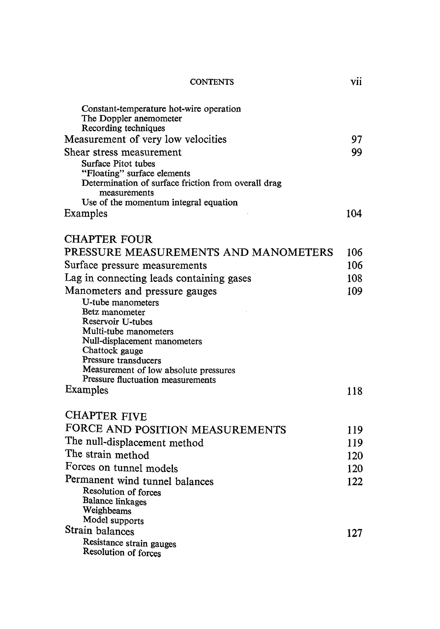|                                                                        | <b>CONTENTS</b> |  |
|------------------------------------------------------------------------|-----------------|--|
| Constant-temperature hot-wire operation<br>The Doppler anemometer<br>. |                 |  |

vii

| Recording techniques                                                       |     |
|----------------------------------------------------------------------------|-----|
| Measurement of very low velocities                                         | 97  |
| Shear stress measurement                                                   | 99  |
| Surface Pitot tubes                                                        |     |
| "Floating" surface elements                                                |     |
| Determination of surface friction from overall drag<br>measurements        |     |
| Use of the momentum integral equation                                      |     |
| Examples                                                                   | 104 |
|                                                                            |     |
| <b>CHAPTER FOUR</b>                                                        |     |
| PRESSURE MEASUREMENTS AND MANOMETERS                                       | 106 |
| Surface pressure measurements                                              | 106 |
| Lag in connecting leads containing gases                                   | 108 |
| Manometers and pressure gauges                                             | 109 |
| U-tube manometers                                                          |     |
| Betz manometer                                                             |     |
| Reservoir U-tubes                                                          |     |
| Multi-tube manometers<br>Null-displacement manometers                      |     |
| Chattock gauge                                                             |     |
| Pressure transducers                                                       |     |
| Measurement of low absolute pressures<br>Pressure fluctuation measurements |     |
| Examples                                                                   | 118 |
|                                                                            |     |
| <b>CHAPTER FIVE</b>                                                        |     |
| FORCE AND POSITION MEASUREMENTS                                            | 119 |
| The null-displacement method                                               | 119 |
| The strain method                                                          | 120 |
| Forces on tunnel models                                                    | 120 |
| Permanent wind tunnel balances                                             | 122 |
| Resolution of forces                                                       |     |
| <b>Balance linkages</b>                                                    |     |
| Weighbeams                                                                 |     |
| Model supports<br>Strain balances                                          |     |
| Resistance strain gauges                                                   | 127 |
| Resolution of forces                                                       |     |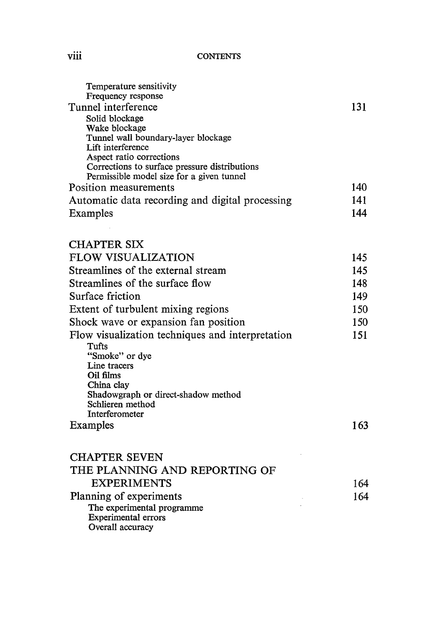## **CONTENTS**

| Temperature sensitivity<br>Frequency response    |      |
|--------------------------------------------------|------|
| Tunnel interference                              | 131  |
| Solid blockage                                   |      |
| Wake blockage                                    |      |
| Tunnel wall boundary-layer blockage              |      |
| Lift interference<br>Aspect ratio corrections    |      |
| Corrections to surface pressure distributions    |      |
| Permissible model size for a given tunnel        |      |
| Position measurements                            | 140. |
| Automatic data recording and digital processing  | 141  |
| Examples                                         | 144  |
|                                                  |      |
| <b>CHAPTER SIX</b>                               |      |
| <b>FLOW VISUALIZATION</b>                        | 145  |
| Streamlines of the external stream               | 145  |
| Streamlines of the surface flow                  | 148  |
| Surface friction                                 | 149  |
| Extent of turbulent mixing regions               | 150  |
| Shock wave or expansion fan position             | 150  |
| Flow visualization techniques and interpretation | 151  |
| Tufts                                            |      |
| "Smoke" or dye                                   |      |
| Line tracers<br>Oil films                        |      |
| China clav                                       |      |
| Shadowgraph or direct-shadow method              |      |
| Schlieren method                                 |      |
| Interferometer<br>Examples                       | 163  |
|                                                  |      |
| <b>CHAPTER SEVEN</b>                             |      |
| THE PLANNING AND REPORTING OF                    |      |
| <b>EXPERIMENTS</b>                               | 164  |
| Planning of experiments                          | 164  |
| The experimental programme                       |      |
| <b>Experimental errors</b>                       |      |
| Overall accuracy                                 |      |

viii